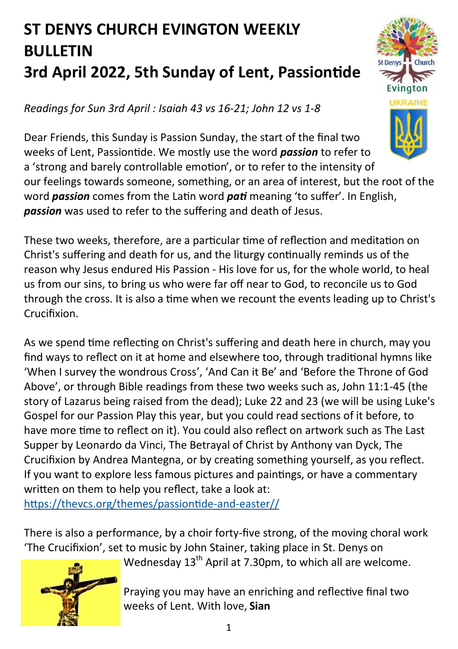## **ST DENYS CHURCH EVINGTON WEEKLY BULLETIN 3rd April 2022, 5th Sunday of Lent, Passiontide**

*Readings for Sun 3rd April : Isaiah 43 vs 16-21; John 12 vs 1-8*

Dear Friends, this Sunday is Passion Sunday, the start of the final two weeks of Lent, Passiontide. We mostly use the word *passion* to refer to a 'strong and barely controllable emotion', or to refer to the intensity of our feelings towards someone, something, or an area of interest, but the root of the word *passion* comes from the Latin word *pati* meaning 'to suffer'. In English, *passion* was used to refer to the suffering and death of Jesus.

These two weeks, therefore, are a particular time of reflection and meditation on Christ's suffering and death for us, and the liturgy continually reminds us of the reason why Jesus endured His Passion - His love for us, for the whole world, to heal us from our sins, to bring us who were far off near to God, to reconcile us to God through the cross. It is also a time when we recount the events leading up to Christ's Crucifixion.

As we spend time reflecting on Christ's suffering and death here in church, may you find ways to reflect on it at home and elsewhere too, through traditional hymns like 'When I survey the wondrous Cross', 'And Can it Be' and 'Before the Throne of God Above', or through Bible readings from these two weeks such as, John 11:1-45 (the story of Lazarus being raised from the dead); Luke 22 and 23 (we will be using Luke's Gospel for our Passion Play this year, but you could read sections of it before, to have more time to reflect on it). You could also reflect on artwork such as The Last Supper by Leonardo da Vinci, The Betrayal of Christ by Anthony van Dyck, The Crucifixion by Andrea Mantegna, or by creating something yourself, as you reflect. If you want to explore less famous pictures and paintings, or have a commentary written on them to help you reflect, take a look at:

[https://thevcs.org/themes/passiontide](https://thevcs.org/themes/passiontide-and-easter/)-and-easter//

There is also a performance, by a choir forty-five strong, of the moving choral work 'The Crucifixion', set to music by John Stainer, taking place in St. Denys on



Wednesday  $13<sup>th</sup>$  April at 7.30pm, to which all are welcome.

Praying you may have an enriching and reflective final two weeks of Lent. With love, **Sian**

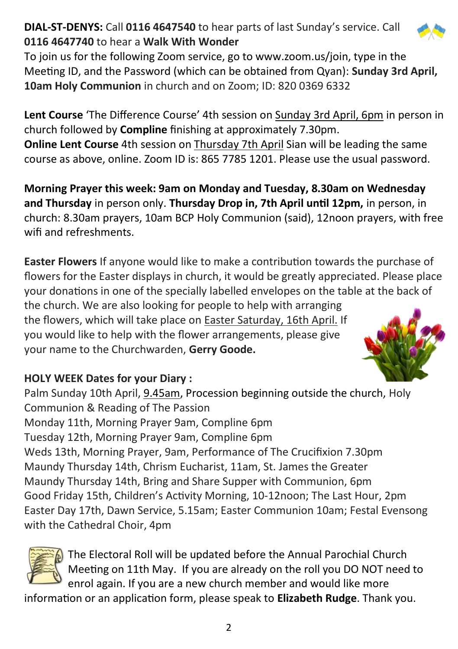## **DIAL-ST-DENYS:** Call **0116 4647540** to hear parts of last Sunday's service. Call **0116 4647740** to hear a **Walk With Wonder**

To join us for the following Zoom service, go to www.zoom.us/join, type in the Meeting ID, and the Password (which can be obtained from Qyan): **Sunday 3rd April, 10am Holy Communion** in church and on Zoom; ID: 820 0369 6332

**Lent Course** 'The Difference Course' 4th session on Sunday 3rd April, 6pm in person in church followed by **Compline** finishing at approximately 7.30pm. **Online Lent Course** 4th session on Thursday 7th April Sian will be leading the same course as above, online. Zoom ID is: 865 7785 1201. Please use the usual password.

**Morning Prayer this week: 9am on Monday and Tuesday, 8.30am on Wednesday and Thursday** in person only. **Thursday Drop in, 7th April until 12pm,** in person, in church: 8.30am prayers, 10am BCP Holy Communion (said), 12noon prayers, with free wifi and refreshments.

**Easter Flowers** If anyone would like to make a contribution towards the purchase of flowers for the Easter displays in church, it would be greatly appreciated. Please place your donations in one of the specially labelled envelopes on the table at the back of

the church. We are also looking for people to help with arranging the flowers, which will take place on Easter Saturday, 16th April. If you would like to help with the flower arrangements, please give your name to the Churchwarden, **Gerry Goode.**

## **HOLY WEEK Dates for your Diary :**

Palm Sunday 10th April, 9.45am, Procession beginning outside the church, Holy Communion & Reading of The Passion Monday 11th, Morning Prayer 9am, Compline 6pm Tuesday 12th, Morning Prayer 9am, Compline 6pm Weds 13th, Morning Prayer, 9am, Performance of The Crucifixion 7.30pm Maundy Thursday 14th, Chrism Eucharist, 11am, St. James the Greater Maundy Thursday 14th, Bring and Share Supper with Communion, 6pm Good Friday 15th, Children's Activity Morning, 10-12noon; The Last Hour, 2pm Easter Day 17th, Dawn Service, 5.15am; Easter Communion 10am; Festal Evensong with the Cathedral Choir, 4pm



The Electoral Roll will be updated before the Annual Parochial Church Meeting on 11th May. If you are already on the roll you DO NOT need to enrol again. If you are a new church member and would like more

information or an application form, please speak to **Elizabeth Rudge**. Thank you.



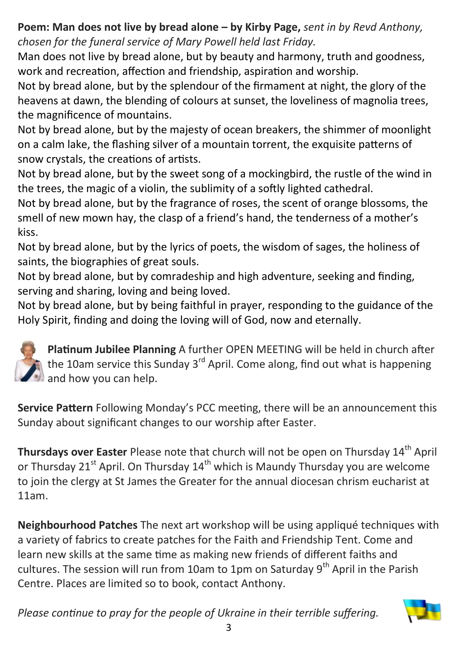## **Poem: Man does not live by bread alone – by Kirby Page,** *sent in by Revd Anthony, chosen for the funeral service of Mary Powell held last Friday.*

Man does not live by bread alone, but by beauty and harmony, truth and goodness, work and recreation, affection and friendship, aspiration and worship.

Not by bread alone, but by the splendour of the firmament at night, the glory of the heavens at dawn, the blending of colours at sunset, the loveliness of magnolia trees, the magnificence of mountains.

Not by bread alone, but by the majesty of ocean breakers, the shimmer of moonlight on a calm lake, the flashing silver of a mountain torrent, the exquisite patterns of snow crystals, the creations of artists.

Not by bread alone, but by the sweet song of a mockingbird, the rustle of the wind in the trees, the magic of a violin, the sublimity of a softly lighted cathedral.

Not by bread alone, but by the fragrance of roses, the scent of orange blossoms, the smell of new mown hay, the clasp of a friend's hand, the tenderness of a mother's kiss.

Not by bread alone, but by the lyrics of poets, the wisdom of sages, the holiness of saints, the biographies of great souls.

Not by bread alone, but by comradeship and high adventure, seeking and finding, serving and sharing, loving and being loved.

Not by bread alone, but by being faithful in prayer, responding to the guidance of the Holy Spirit, finding and doing the loving will of God, now and eternally.



**Platinum Jubilee Planning** A further OPEN MEETING will be held in church after the 10am service this Sunday 3<sup>rd</sup> April. Come along, find out what is happening and how you can help.

**Service Pattern** Following Monday's PCC meeting, there will be an announcement this Sunday about significant changes to our worship after Easter.

**Thursdays over Easter** Please note that church will not be open on Thursday 14<sup>th</sup> April or Thursday 21<sup>st</sup> April. On Thursday  $14<sup>th</sup>$  which is Maundy Thursday you are welcome to join the clergy at St James the Greater for the annual diocesan chrism eucharist at 11am.

**Neighbourhood Patches** The next art workshop will be using appliqué techniques with a variety of fabrics to create patches for the Faith and Friendship Tent. Come and learn new skills at the same time as making new friends of different faiths and cultures. The session will run from 10am to 1pm on Saturday 9<sup>th</sup> April in the Parish Centre. Places are limited so to book, contact Anthony.

*Please continue to pray for the people of Ukraine in their terrible suffering.*